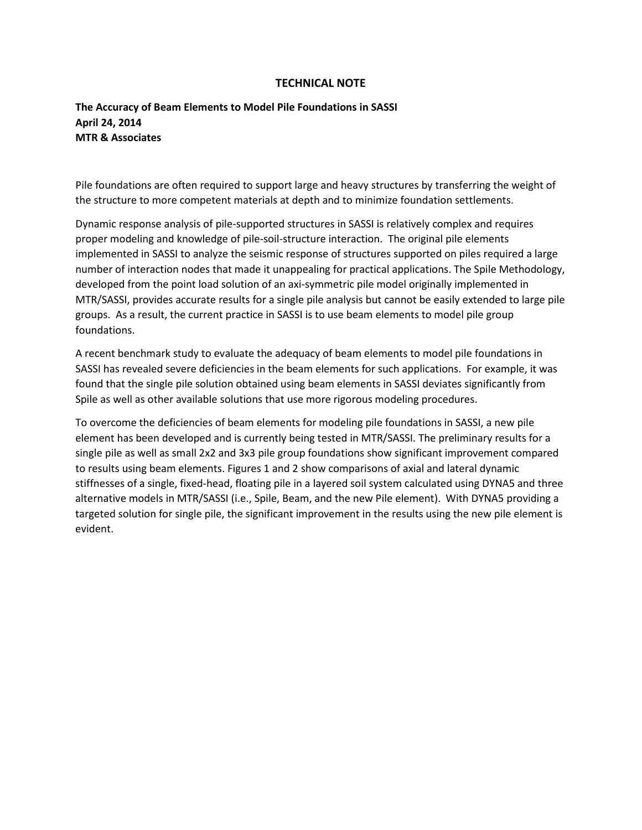## **TECHNICAL NOTE**

## **The Accuracy of Beam Elements to Model Pile Foundations in SASSI April 24, 2014 MTR & Associates**

Pile foundations are often required to support large and heavy structures by transferring the weight of the structure to more competent materials at depth and to minimize foundation settlements.

Dynamic response analysis of pile-supported structures in SASSI is relatively complex and requires proper modeling and knowledge of pile-soil-structure interaction. The original pile elements implemented in SASSI to analyze the seismic response of structures supported on piles required a large number of interaction nodes that made it unappealing for practical applications. The Spile Methodology, developed from the point load solution of an axi-symmetric pile model originally implemented in MTR/SASSI, provides accurate results for a single pile analysis but cannot be easily extended to large pile groups. As a result, the current practice in SASSI is to use beam elements to model pile group foundations.

A recent benchmark study to evaluate the adequacy of beam elements to model pile foundations in SASSI has revealed severe deficiencies in the beam elements for such applications. For example, it was found that the single pile solution obtained using beam elements in SASSI deviates significantly from Spile as well as other available solutions that use more rigorous modeling procedures.

To overcome the deficiencies of beam elements for modeling pile foundations in SASSI, a new pile element has been developed and is currently being tested in MTR/SASSI. The preliminary results for a single pile as well as small 2x2 and 3x3 pile group foundations show significant improvement compared to results using beam elements. Figures 1 and 2 show comparisons of axial and lateral dynamic stiffnesses of a single, fixed-head, floating pile in a layered soil system calculated using DYNA5 and three alternative models in MTR/SASSI (i.e., Spile, Beam, and the new Pile element). With DYNA5 providing a targeted solution for single pile, the significant improvement in the results using the new pile element is evident.